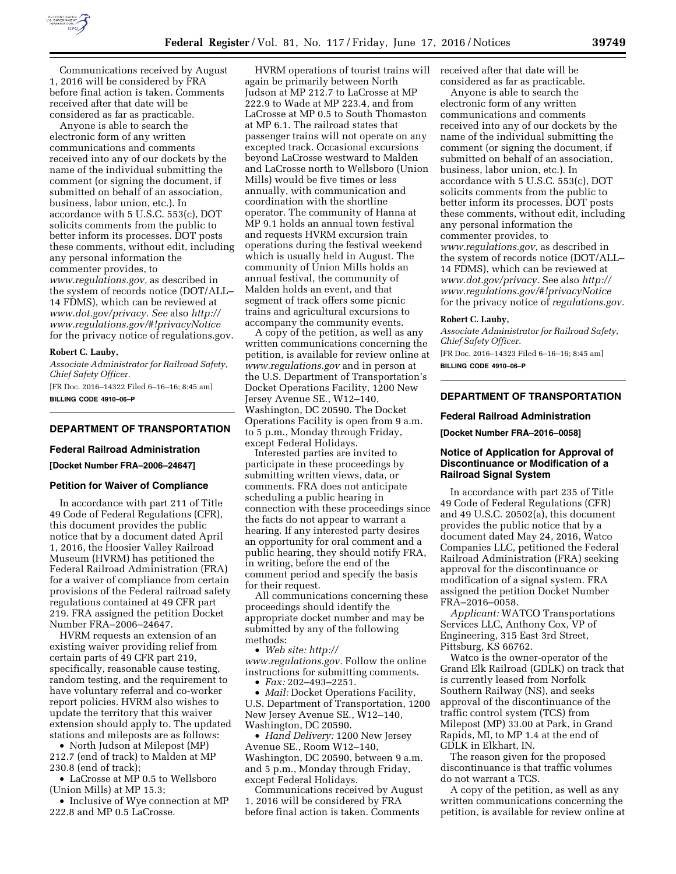

Communications received by August 1, 2016 will be considered by FRA before final action is taken. Comments received after that date will be considered as far as practicable.

Anyone is able to search the electronic form of any written communications and comments received into any of our dockets by the name of the individual submitting the comment (or signing the document, if submitted on behalf of an association, business, labor union, etc.). In accordance with 5 U.S.C. 553(c), DOT solicits comments from the public to better inform its processes. DOT posts these comments, without edit, including any personal information the commenter provides, to *[www.regulations.gov,](http://www.regulations.gov)* as described in the system of records notice (DOT/ALL– 14 FDMS), which can be reviewed at *[www.dot.gov/privacy.](http://www.dot.gov/privacy) See* also *[http://](http://www.regulations.gov/#!privacyNotice)  [www.regulations.gov/#!privacyNotice](http://www.regulations.gov/#!privacyNotice)*  for the privacy notice of regulations.gov.

#### **Robert C. Lauby,**

*Associate Administrator for Railroad Safety, Chief Safety Officer.* 

[FR Doc. 2016–14322 Filed 6–16–16; 8:45 am] **BILLING CODE 4910–06–P** 

## **DEPARTMENT OF TRANSPORTATION**

#### **Federal Railroad Administration**

**[Docket Number FRA–2006–24647]** 

### **Petition for Waiver of Compliance**

In accordance with part 211 of Title 49 Code of Federal Regulations (CFR), this document provides the public notice that by a document dated April 1, 2016, the Hoosier Valley Railroad Museum (HVRM) has petitioned the Federal Railroad Administration (FRA) for a waiver of compliance from certain provisions of the Federal railroad safety regulations contained at 49 CFR part 219. FRA assigned the petition Docket Number FRA–2006–24647.

HVRM requests an extension of an existing waiver providing relief from certain parts of 49 CFR part 219, specifically, reasonable cause testing, random testing, and the requirement to have voluntary referral and co-worker report policies. HVRM also wishes to update the territory that this waiver extension should apply to. The updated stations and mileposts are as follows:

• North Judson at Milepost (MP) 212.7 (end of track) to Malden at MP 230.8 (end of track);

• LaCrosse at MP 0.5 to Wellsboro (Union Mills) at MP 15.3;

• Inclusive of Wye connection at MP 222.8 and MP 0.5 LaCrosse.

HVRM operations of tourist trains will again be primarily between North Judson at MP 212.7 to LaCrosse at MP 222.9 to Wade at MP 223.4, and from LaCrosse at MP 0.5 to South Thomaston at MP 6.1. The railroad states that passenger trains will not operate on any excepted track. Occasional excursions beyond LaCrosse westward to Malden and LaCrosse north to Wellsboro (Union Mills) would be five times or less annually, with communication and coordination with the shortline operator. The community of Hanna at MP 9.1 holds an annual town festival and requests HVRM excursion train operations during the festival weekend which is usually held in August. The community of Union Mills holds an annual festival, the community of Malden holds an event, and that segment of track offers some picnic trains and agricultural excursions to accompany the community events.

A copy of the petition, as well as any written communications concerning the petition, is available for review online at *[www.regulations.gov](http://www.regulations.gov)* and in person at the U.S. Department of Transportation's Docket Operations Facility, 1200 New Jersey Avenue SE., W12–140, Washington, DC 20590. The Docket Operations Facility is open from 9 a.m. to 5 p.m., Monday through Friday, except Federal Holidays.

Interested parties are invited to participate in these proceedings by submitting written views, data, or comments. FRA does not anticipate scheduling a public hearing in connection with these proceedings since the facts do not appear to warrant a hearing. If any interested party desires an opportunity for oral comment and a public hearing, they should notify FRA, in writing, before the end of the comment period and specify the basis for their request.

All communications concerning these proceedings should identify the appropriate docket number and may be submitted by any of the following methods:

• *Web site: [http://](http://www.regulations.gov) [www.regulations.gov.](http://www.regulations.gov)* Follow the online instructions for submitting comments.

• *Fax:* 202–493–2251.

• *Mail:* Docket Operations Facility, U.S. Department of Transportation, 1200 New Jersey Avenue SE., W12–140, Washington, DC 20590.

• *Hand Delivery:* 1200 New Jersey Avenue SE., Room W12–140, Washington, DC 20590, between 9 a.m. and 5 p.m., Monday through Friday, except Federal Holidays.

Communications received by August 1, 2016 will be considered by FRA before final action is taken. Comments

received after that date will be considered as far as practicable.

Anyone is able to search the electronic form of any written communications and comments received into any of our dockets by the name of the individual submitting the comment (or signing the document, if submitted on behalf of an association, business, labor union, etc.). In accordance with 5 U.S.C. 553(c), DOT solicits comments from the public to better inform its processes. DOT posts these comments, without edit, including any personal information the commenter provides, to

*[www.regulations.gov,](http://www.regulations.gov)* as described in the system of records notice (DOT/ALL– 14 FDMS), which can be reviewed at *[www.dot.gov/privacy.](http://www.dot.gov/privacy)* See also *[http://](http://www.regulations.gov/#!privacyNotice) [www.regulations.gov/#!privacyNotice](http://www.regulations.gov/#!privacyNotice)*  for the privacy notice of *regulations.gov.* 

### **Robert C. Lauby,**

*Associate Administrator for Railroad Safety, Chief Safety Officer.*  [FR Doc. 2016–14323 Filed 6–16–16; 8:45 am] **BILLING CODE 4910–06–P** 

# **DEPARTMENT OF TRANSPORTATION**

#### **Federal Railroad Administration**

**[Docket Number FRA–2016–0058]** 

## **Notice of Application for Approval of Discontinuance or Modification of a Railroad Signal System**

In accordance with part 235 of Title 49 Code of Federal Regulations (CFR) and 49 U.S.C. 20502(a), this document provides the public notice that by a document dated May 24, 2016, Watco Companies LLC, petitioned the Federal Railroad Administration (FRA) seeking approval for the discontinuance or modification of a signal system. FRA assigned the petition Docket Number FRA–2016–0058.

*Applicant:* WATCO Transportations Services LLC, Anthony Cox, VP of Engineering, 315 East 3rd Street, Pittsburg, KS 66762.

Watco is the owner-operator of the Grand Elk Railroad (GDLK) on track that is currently leased from Norfolk Southern Railway (NS), and seeks approval of the discontinuance of the traffic control system (TCS) from Milepost (MP) 33.00 at Park, in Grand Rapids, MI, to MP 1.4 at the end of GDLK in Elkhart, IN.

The reason given for the proposed discontinuance is that traffic volumes do not warrant a TCS.

A copy of the petition, as well as any written communications concerning the petition, is available for review online at